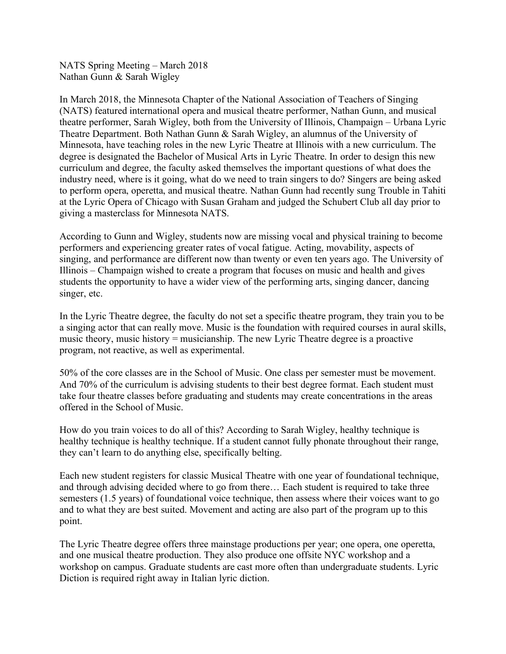NATS Spring Meeting – March 2018 Nathan Gunn & Sarah Wigley

In March 2018, the Minnesota Chapter of the National Association of Teachers of Singing (NATS) featured international opera and musical theatre performer, Nathan Gunn, and musical theatre performer, Sarah Wigley, both from the University of Illinois, Champaign – Urbana Lyric Theatre Department. Both Nathan Gunn & Sarah Wigley, an alumnus of the University of Minnesota, have teaching roles in the new Lyric Theatre at Illinois with a new curriculum. The degree is designated the Bachelor of Musical Arts in Lyric Theatre. In order to design this new curriculum and degree, the faculty asked themselves the important questions of what does the industry need, where is it going, what do we need to train singers to do? Singers are being asked to perform opera, operetta, and musical theatre. Nathan Gunn had recently sung Trouble in Tahiti at the Lyric Opera of Chicago with Susan Graham and judged the Schubert Club all day prior to giving a masterclass for Minnesota NATS.

According to Gunn and Wigley, students now are missing vocal and physical training to become performers and experiencing greater rates of vocal fatigue. Acting, movability, aspects of singing, and performance are different now than twenty or even ten years ago. The University of Illinois – Champaign wished to create a program that focuses on music and health and gives students the opportunity to have a wider view of the performing arts, singing dancer, dancing singer, etc.

In the Lyric Theatre degree, the faculty do not set a specific theatre program, they train you to be a singing actor that can really move. Music is the foundation with required courses in aural skills, music theory, music history = musicianship. The new Lyric Theatre degree is a proactive program, not reactive, as well as experimental.

50% of the core classes are in the School of Music. One class per semester must be movement. And 70% of the curriculum is advising students to their best degree format. Each student must take four theatre classes before graduating and students may create concentrations in the areas offered in the School of Music.

How do you train voices to do all of this? According to Sarah Wigley, healthy technique is healthy technique is healthy technique. If a student cannot fully phonate throughout their range, they can't learn to do anything else, specifically belting.

Each new student registers for classic Musical Theatre with one year of foundational technique, and through advising decided where to go from there… Each student is required to take three semesters (1.5 years) of foundational voice technique, then assess where their voices want to go and to what they are best suited. Movement and acting are also part of the program up to this point.

The Lyric Theatre degree offers three mainstage productions per year; one opera, one operetta, and one musical theatre production. They also produce one offsite NYC workshop and a workshop on campus. Graduate students are cast more often than undergraduate students. Lyric Diction is required right away in Italian lyric diction.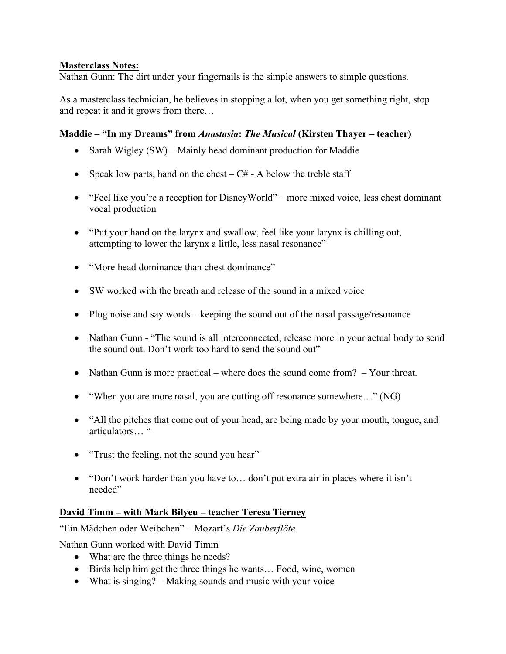## **Masterclass Notes:**

Nathan Gunn: The dirt under your fingernails is the simple answers to simple questions.

As a masterclass technician, he believes in stopping a lot, when you get something right, stop and repeat it and it grows from there…

## **Maddie – "In my Dreams" from** *Anastasia***:** *The Musical* **(Kirsten Thayer – teacher)**

- Sarah Wigley (SW) Mainly head dominant production for Maddie
- Speak low parts, hand on the chest  $-C#$  A below the treble staff
- "Feel like you're a reception for DisneyWorld" more mixed voice, less chest dominant vocal production
- "Put your hand on the larynx and swallow, feel like your larynx is chilling out, attempting to lower the larynx a little, less nasal resonance"
- "More head dominance than chest dominance"
- SW worked with the breath and release of the sound in a mixed voice
- Plug noise and say words keeping the sound out of the nasal passage/resonance
- Nathan Gunn "The sound is all interconnected, release more in your actual body to send the sound out. Don't work too hard to send the sound out"
- Nathan Gunn is more practical where does the sound come from? Your throat.
- "When you are more nasal, you are cutting off resonance somewhere..." (NG)
- "All the pitches that come out of your head, are being made by your mouth, tongue, and articulators… "
- "Trust the feeling, not the sound you hear"
- "Don't work harder than you have to... don't put extra air in places where it isn't needed"

## **David Timm – with Mark Bilyeu – teacher Teresa Tierney**

"Ein Mädchen oder Weibchen" – Mozart's *Die Zauberflöte*

Nathan Gunn worked with David Timm

- What are the three things he needs?
- Birds help him get the three things he wants... Food, wine, women
- What is singing? Making sounds and music with your voice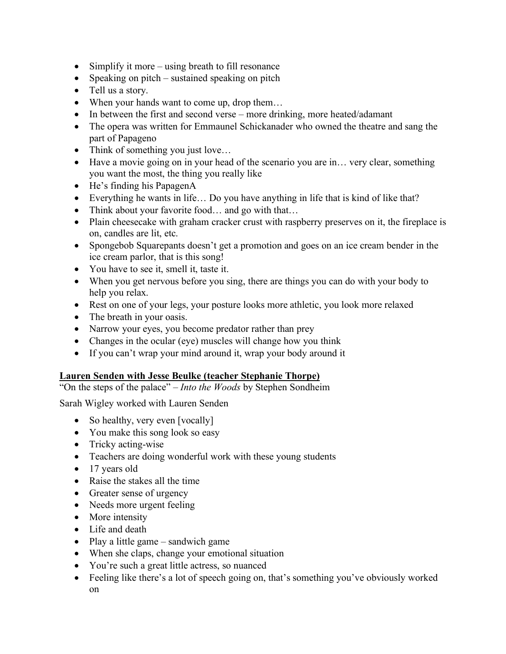- Simplify it more using breath to fill resonance
- Speaking on pitch sustained speaking on pitch
- Tell us a story.
- When your hands want to come up, drop them...
- In between the first and second verse more drinking, more heated/adamant
- The opera was written for Emmaunel Schickanader who owned the theatre and sang the part of Papageno
- Think of something you just love...
- Have a movie going on in your head of the scenario you are in... very clear, something you want the most, the thing you really like
- He's finding his PapagenA
- Everything he wants in life... Do you have anything in life that is kind of like that?
- Think about your favorite food... and go with that...
- Plain cheesecake with graham cracker crust with raspberry preserves on it, the fireplace is on, candles are lit, etc.
- Spongebob Squarepants doesn't get a promotion and goes on an ice cream bender in the ice cream parlor, that is this song!
- You have to see it, smell it, taste it.
- When you get nervous before you sing, there are things you can do with your body to help you relax.
- Rest on one of your legs, your posture looks more athletic, you look more relaxed
- The breath in your oasis.
- Narrow your eyes, you become predator rather than prey
- Changes in the ocular (eye) muscles will change how you think
- If you can't wrap your mind around it, wrap your body around it

## **Lauren Senden with Jesse Beulke (teacher Stephanie Thorpe)**

"On the steps of the palace" – *Into the Woods* by Stephen Sondheim

Sarah Wigley worked with Lauren Senden

- So healthy, very even [vocally]
- You make this song look so easy
- Tricky acting-wise
- Teachers are doing wonderful work with these young students
- 17 years old
- Raise the stakes all the time
- Greater sense of urgency
- Needs more urgent feeling
- More intensity
- Life and death
- Play a little game sandwich game
- When she claps, change your emotional situation
- You're such a great little actress, so nuanced
- Feeling like there's a lot of speech going on, that's something you've obviously worked on